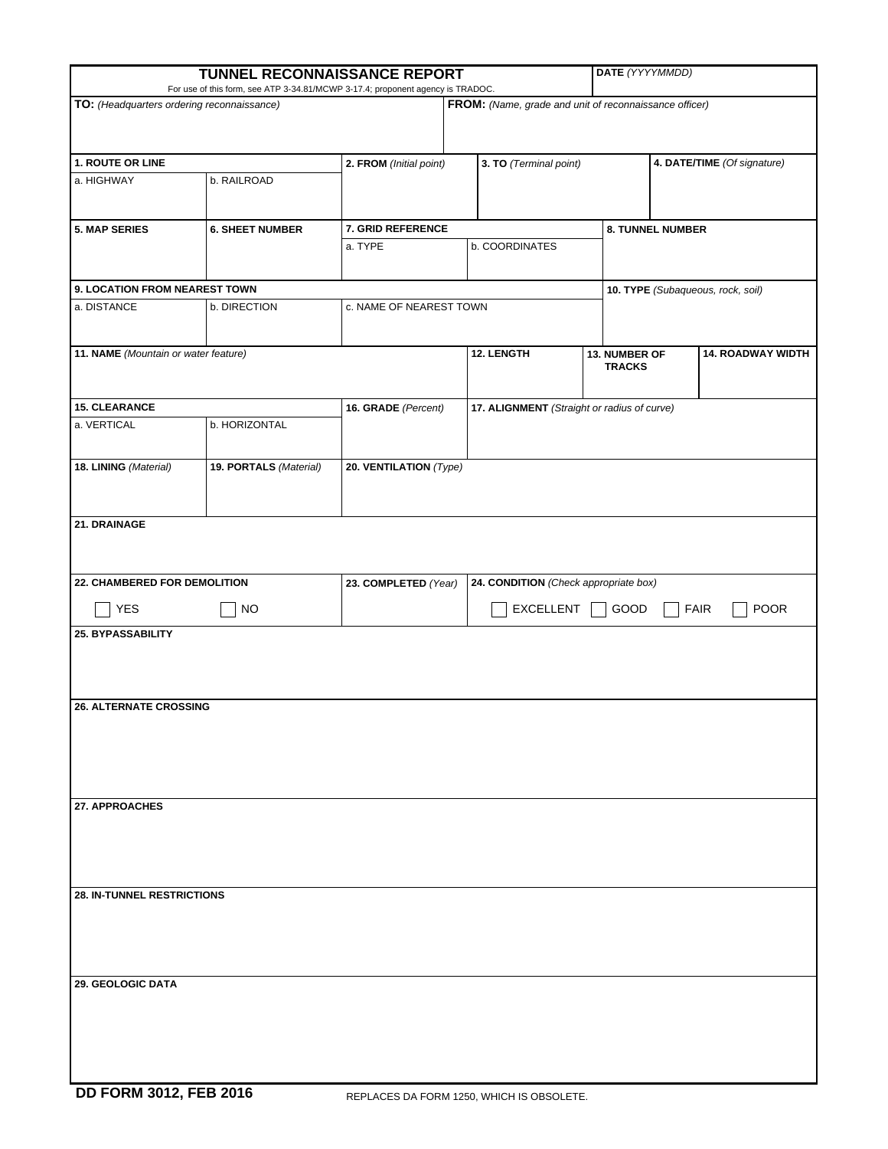| TUNNEL RECONNAISSANCE REPORT                                                                                                                                                           |                        |                                                                    |                                                 |                                | DATE (YYYYMMDD)                   |                             |  |
|----------------------------------------------------------------------------------------------------------------------------------------------------------------------------------------|------------------------|--------------------------------------------------------------------|-------------------------------------------------|--------------------------------|-----------------------------------|-----------------------------|--|
| For use of this form, see ATP 3-34.81/MCWP 3-17.4; proponent agency is TRADOC.<br>TO: (Headquarters ordering reconnaissance)<br>FROM: (Name, grade and unit of reconnaissance officer) |                        |                                                                    |                                                 |                                |                                   |                             |  |
|                                                                                                                                                                                        |                        |                                                                    |                                                 |                                |                                   |                             |  |
|                                                                                                                                                                                        |                        |                                                                    |                                                 |                                |                                   |                             |  |
| 1. ROUTE OR LINE                                                                                                                                                                       |                        | 2. FROM (Initial point)                                            |                                                 | 3. TO (Terminal point)         |                                   | 4. DATE/TIME (Of signature) |  |
| a. HIGHWAY                                                                                                                                                                             | b. RAILROAD            |                                                                    |                                                 |                                |                                   |                             |  |
|                                                                                                                                                                                        |                        |                                                                    |                                                 |                                |                                   |                             |  |
|                                                                                                                                                                                        |                        |                                                                    |                                                 |                                |                                   |                             |  |
| <b>5. MAP SERIES</b>                                                                                                                                                                   | <b>6. SHEET NUMBER</b> | 7. GRID REFERENCE<br>a. TYPE                                       | b. COORDINATES                                  |                                | 8. TUNNEL NUMBER                  |                             |  |
|                                                                                                                                                                                        |                        |                                                                    |                                                 |                                |                                   |                             |  |
|                                                                                                                                                                                        |                        |                                                                    |                                                 |                                |                                   |                             |  |
| 9. LOCATION FROM NEAREST TOWN                                                                                                                                                          |                        | c. NAME OF NEAREST TOWN                                            |                                                 |                                | 10. TYPE (Subaqueous, rock, soil) |                             |  |
| a. DISTANCE                                                                                                                                                                            | b. DIRECTION           |                                                                    |                                                 |                                |                                   |                             |  |
|                                                                                                                                                                                        |                        |                                                                    |                                                 |                                |                                   |                             |  |
| 11. NAME (Mountain or water feature)                                                                                                                                                   |                        |                                                                    | 12. LENGTH                                      | 13. NUMBER OF<br><b>TRACKS</b> |                                   | <b>14. ROADWAY WIDTH</b>    |  |
|                                                                                                                                                                                        |                        |                                                                    |                                                 |                                |                                   |                             |  |
| <b>15. CLEARANCE</b>                                                                                                                                                                   |                        | 16. GRADE (Percent)<br>17. ALIGNMENT (Straight or radius of curve) |                                                 |                                |                                   |                             |  |
| a. VERTICAL                                                                                                                                                                            | b. HORIZONTAL          |                                                                    |                                                 |                                |                                   |                             |  |
|                                                                                                                                                                                        |                        |                                                                    |                                                 |                                |                                   |                             |  |
| 18. LINING (Material)                                                                                                                                                                  | 19. PORTALS (Material) | 20. VENTILATION (Type)                                             |                                                 |                                |                                   |                             |  |
|                                                                                                                                                                                        |                        |                                                                    |                                                 |                                |                                   |                             |  |
|                                                                                                                                                                                        |                        |                                                                    |                                                 |                                |                                   |                             |  |
| 21. DRAINAGE                                                                                                                                                                           |                        |                                                                    |                                                 |                                |                                   |                             |  |
|                                                                                                                                                                                        |                        |                                                                    |                                                 |                                |                                   |                             |  |
|                                                                                                                                                                                        |                        |                                                                    |                                                 |                                |                                   |                             |  |
| 22. CHAMBERED FOR DEMOLITION                                                                                                                                                           |                        | 23. COMPLETED (Year)                                               | 24. CONDITION (Check appropriate box)           |                                |                                   |                             |  |
| <b>YES</b>                                                                                                                                                                             | <b>NO</b>              |                                                                    | EXCELLENT<br><b>FAIR</b><br><b>POOR</b><br>GOOD |                                |                                   |                             |  |
| <b>25. BYPASSABILITY</b>                                                                                                                                                               |                        |                                                                    |                                                 |                                |                                   |                             |  |
|                                                                                                                                                                                        |                        |                                                                    |                                                 |                                |                                   |                             |  |
|                                                                                                                                                                                        |                        |                                                                    |                                                 |                                |                                   |                             |  |
|                                                                                                                                                                                        |                        |                                                                    |                                                 |                                |                                   |                             |  |
| <b>26. ALTERNATE CROSSING</b>                                                                                                                                                          |                        |                                                                    |                                                 |                                |                                   |                             |  |
|                                                                                                                                                                                        |                        |                                                                    |                                                 |                                |                                   |                             |  |
|                                                                                                                                                                                        |                        |                                                                    |                                                 |                                |                                   |                             |  |
|                                                                                                                                                                                        |                        |                                                                    |                                                 |                                |                                   |                             |  |
| 27. APPROACHES                                                                                                                                                                         |                        |                                                                    |                                                 |                                |                                   |                             |  |
|                                                                                                                                                                                        |                        |                                                                    |                                                 |                                |                                   |                             |  |
|                                                                                                                                                                                        |                        |                                                                    |                                                 |                                |                                   |                             |  |
|                                                                                                                                                                                        |                        |                                                                    |                                                 |                                |                                   |                             |  |
|                                                                                                                                                                                        |                        |                                                                    |                                                 |                                |                                   |                             |  |
| <b>28. IN-TUNNEL RESTRICTIONS</b>                                                                                                                                                      |                        |                                                                    |                                                 |                                |                                   |                             |  |
|                                                                                                                                                                                        |                        |                                                                    |                                                 |                                |                                   |                             |  |
|                                                                                                                                                                                        |                        |                                                                    |                                                 |                                |                                   |                             |  |
|                                                                                                                                                                                        |                        |                                                                    |                                                 |                                |                                   |                             |  |
| 29. GEOLOGIC DATA                                                                                                                                                                      |                        |                                                                    |                                                 |                                |                                   |                             |  |
|                                                                                                                                                                                        |                        |                                                                    |                                                 |                                |                                   |                             |  |
|                                                                                                                                                                                        |                        |                                                                    |                                                 |                                |                                   |                             |  |
|                                                                                                                                                                                        |                        |                                                                    |                                                 |                                |                                   |                             |  |
|                                                                                                                                                                                        |                        |                                                                    |                                                 |                                |                                   |                             |  |
|                                                                                                                                                                                        |                        |                                                                    |                                                 |                                |                                   |                             |  |